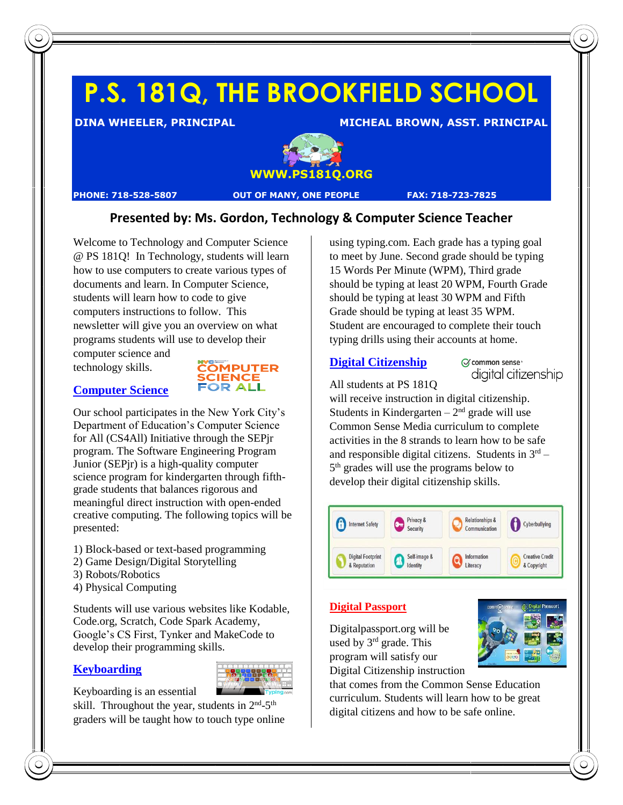# **P.S. 181Q, THE BROOKFIELD SCHOOL**

**DINA WHEELER, PRINCIPAL MICHEAL BROWN, ASST. PRINCIPAL** 



**PHONE: 718-528-5807 OUT OF MANY, ONE PEOPLE FAX: 718-723-7825**

## **Presented by: Ms. Gordon, Technology & Computer Science Teacher**

Welcome to Technology and Computer Science @ PS 181Q! In Technology, students will learn how to use computers to create various types of documents and learn. In Computer Science, students will learn how to code to give computers instructions to follow. This newsletter will give you an overview on what programs students will use to develop their

computer science and technology skills.



# **Computer Science** Our school participates in the New York City's

Department of Education's Computer Science for All (CS4All) Initiative through the SEPjr program. The Software Engineering Program Junior (SEPjr) is a high-quality computer science program for kindergarten through fifthgrade students that balances rigorous and meaningful direct instruction with open-ended creative computing. The following topics will be presented:

- 1) Block-based or text-based programming
- 2) Game Design/Digital Storytelling
- 3) Robots/Robotics
- 4) Physical Computing

Students will use various websites like Kodable, Code.org, Scratch, Code Spark Academy, Google's CS First, Tynker and MakeCode to develop their programming skills.

## **Keyboarding**



Keyboarding is an essential

skill. Throughout the year, students in  $2<sup>nd</sup> - 5<sup>th</sup>$ graders will be taught how to touch type online using typing.com. Each grade has a typing goal to meet by June. Second grade should be typing 15 Words Per Minute (WPM), Third grade should be typing at least 20 WPM, Fourth Grade should be typing at least 30 WPM and Fifth Grade should be typing at least 35 WPM. Student are encouraged to complete their touch typing drills using their accounts at home.

## **Digital Citizenship**

C common sense<sup>®</sup> digital citizenship

All students at PS 181Q

will receive instruction in digital citizenship. Students in Kindergarten  $-2<sup>nd</sup>$  grade will use Common Sense Media curriculum to complete activities in the 8 strands to learn how to be safe and responsible digital citizens. Students in  $3<sup>rd</sup>$  – 5<sup>th</sup> grades will use the programs below to develop their digital citizenship skills.

| <b>Internet Safety</b>                   | Privacy &<br>Security         | <b>Relationships &amp;</b><br>Communication | Cyberbullying                         |
|------------------------------------------|-------------------------------|---------------------------------------------|---------------------------------------|
| <b>Digital Footprint</b><br>& Reputation | Self-image &<br>邵<br>Identity | Information<br>Literacy                     | <b>Creative Credit</b><br>& Copyright |

#### **Digital Passport**

Digitalpassport.org will be used by  $3<sup>rd</sup>$  grade. This program will satisfy our Digital Citizenship instruction



that comes from the Common Sense Education curriculum. Students will learn how to be great digital citizens and how to be safe online.